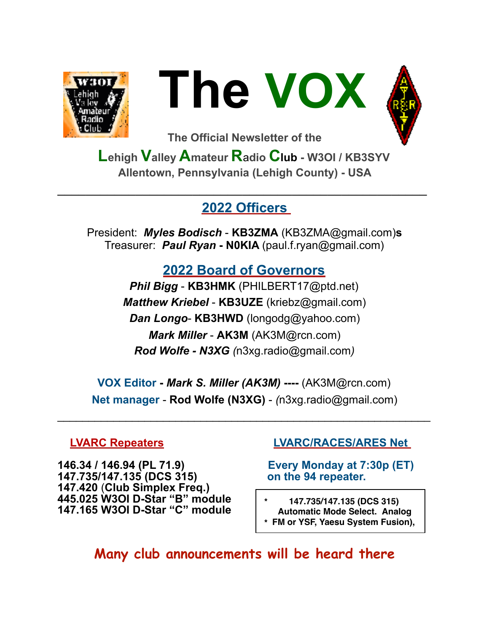



**The Official Newsletter of the** 

**Lehigh Valley Amateur R**a**dio Club - W3OI / KB3SYV Allentown, Pennsylvania (Lehigh County) - USA** 

### **2022 Officers**

**\_\_\_\_\_\_\_\_\_\_\_\_\_\_\_\_\_\_\_\_\_\_\_\_\_\_\_\_\_\_\_\_\_\_\_\_\_\_\_\_\_\_\_\_\_\_\_\_\_\_\_\_** 

President: *Myles Bodisch* - **KB3ZMA** [\(KB3ZMA@gmail.com](mailto:KB3ZMA@gmail.com))**s** Treasurer: *Paul Ryan* **- N0KIA** [\(paul.f.ryan@gmail.com](mailto:paul.f.ryan@gmail.com))

# **2022 Board of Governors**

*Phil Bigg* - **KB3HMK** (PHILBERT17@ptd.net) *Matthew Kriebel* - **KB3UZE** [\(kriebz@gmail.com\)](mailto:kriebz@gmail.com) *Dan Longo*- **KB3HWD** (longodg@yahoo.com) *Mark Miller* - **AK3M** ([AK3M@rcn.com\)](mailto:AK3M@rcn.com) *Rod Wolfe - N3XG (*[n3xg.radio@gmail.com](mailto:n3xg.radio@gmail.com)*)* 

**VOX Editor -** *Mark S. Miller (AK3M)* **----** (AK3M@rcn.com) **Net manager** - **Rod Wolfe (N3XG)** - *(*[n3xg.radio@gmail.com](mailto:n3xg.radio@gmail.com))

 $\mathcal{L}_\text{max}$  , and the contract of the contract of the contract of the contract of the contract of the contract of the contract of the contract of the contract of the contract of the contract of the contract of the contr

**146.34 / 146.94 (PL 71.9) Every Monday at 7:30p (ET) 147.735/147.135 (DCS 315) on the 94 repeater. 147.420** (**Club Simplex Freq.) 445.025 W3OI D-Star "B" module 147.165 W3OI D-Star "C" module \* 147.735/147.135 (DCS 315)** 

#### **LVARC Repeaters LVARC/RACES/ARES Net**

- **Automatic Mode Select. Analog \* FM or YSF, Yaesu System Fusion),**
- **Many club announcements will be heard there**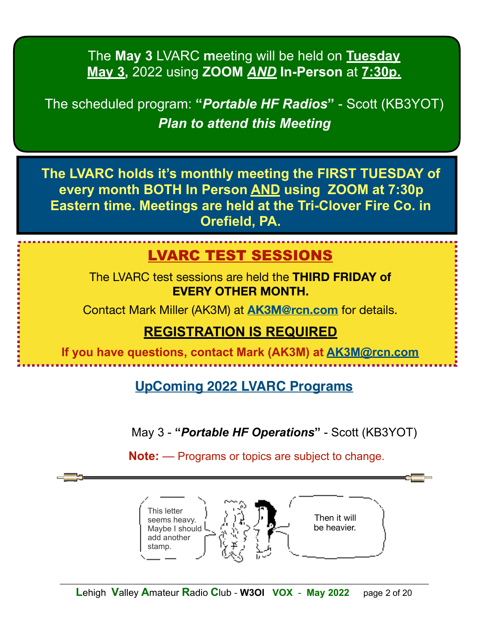The **May 3** LVARC **m**eeting will be held on **Tuesday May 3,** 2022 using **ZOOM** *AND* **In-Person** at **7:30p.** 

The scheduled program: **"***Portable HF Radios***"** - Scott (KB3YOT) *Plan to attend this Meeting*

**The LVARC holds it's monthly meeting the FIRST TUESDAY of every month BOTH In Person AND using ZOOM at 7:30p Eastern time. Meetings are held at the Tri-Clover Fire Co. in Orefield, PA.** 

# LVARC TEST SESSIONS

The LVARC test sessions are held the **THIRD FRIDAY of EVERY OTHER MONTH.**

Contact Mark Miller (AK3M) at **[AK3M@rcn.com](mailto:AK3M@rcn.com)** for details.

# **REGISTRATION IS REQUIRED**

**If you have questions, contact Mark (AK3M) at [AK3M@rcn.com](mailto:AK3M@rcn.com)**

**UpComing 2022 LVARC Programs**

May 3 - **"***Portable HF Operations***"** - Scott (KB3YOT)

**Note:** — Programs or topics are subject to change.

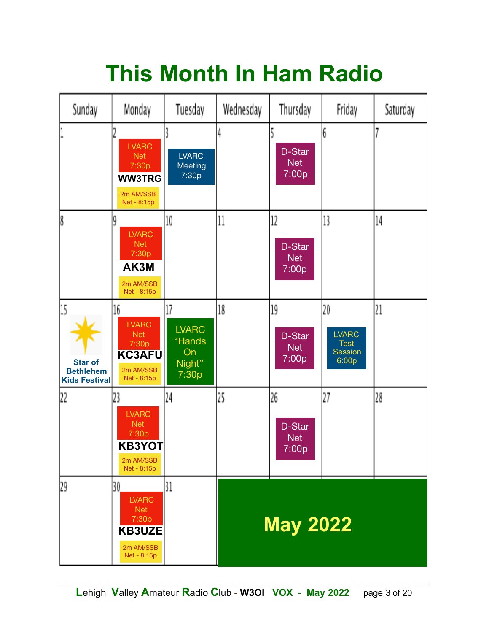# **This Month In Ham Radio**

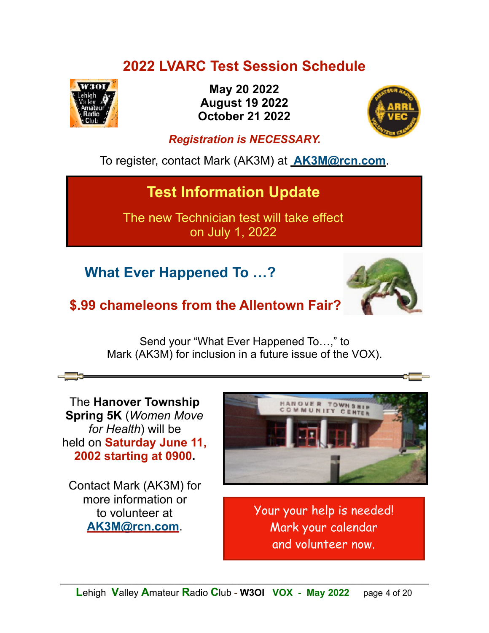# **2022 LVARC Test Session Schedule**



**May 20 2022 August 19 2022 October 21 2022**



#### *Registration is NECESSARY.*

To register, contact Mark (AK3M) at **[AK3M@rcn.com](mailto:no_reply@apple.com)**.

# **Test Information Update**

The new Technician test will take effect on July 1, 2022

 **What Ever Happened To …?**



# **\$.99 chameleons from the Allentown Fair?**

Send your "What Ever Happened To…," to Mark (AK3M) for inclusion in a future issue of the VOX).

The **Hanover Township Spring 5K** (*Women Move for Health*) will be held on **Saturday June 11, 2002 starting at 0900.** 

Contact Mark (AK3M) for more information or to volunteer at **[AK3M@rcn.com](mailto:AK3M@rcn.com)**.



Your your help is needed! Mark your calendar and volunteer now.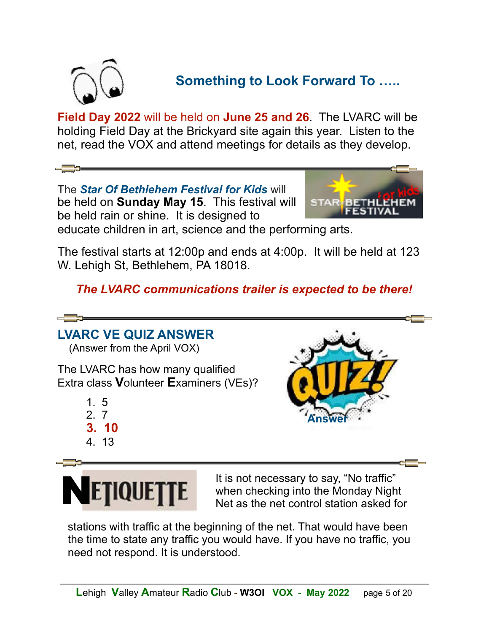

# **Something to Look Forward To …..**

**Field Day 2022** will be held on **June 25 and 26**. The LVARC will be holding Field Day at the Brickyard site again this year. Listen to the net, read the VOX and attend meetings for details as they develop.

The *Star Of Bethlehem Festival for Kids* will be held on **Sunday May 15**. This festival will be held rain or shine. It is designed to



educate children in art, science and the performing arts.

The festival starts at 12:00p and ends at 4:00p. It will be held at 123 W. Lehigh St, Bethlehem, PA 18018.

*The LVARC communications trailer is expected to be there!* 

# **LVARC VE QUIZ ANSWER**

(Answer from the April VOX)

The LVARC has how many qualified Extra class **V**olunteer **E**xaminers (VEs)?

- 1. 5
- 2. 7
- **3. 10**
- 4. 13





**ETIQUETTE** It is not necessary to say, "No traffic"<br> **ETIQUETTE** Not so the not central station saked for when checking into the Monday Night Net as the net control station asked for

stations with traffic at the beginning of the net. That would have been the time to state any traffic you would have. If you have no traffic, you need not respond. It is understood.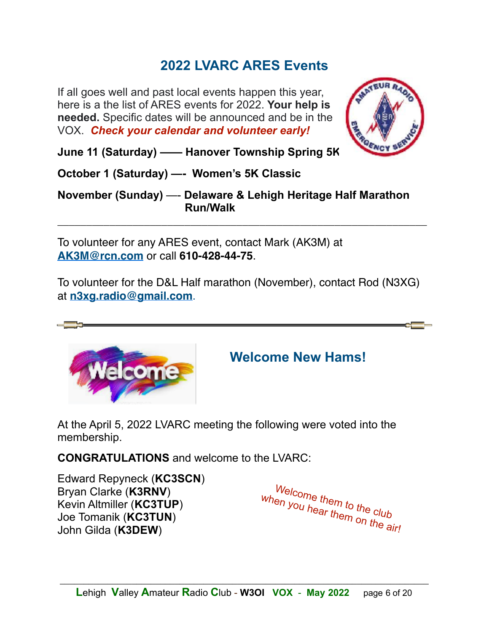# **2022 LVARC ARES Events**

If all goes well and past local events happen this year, here is a the list of ARES events for 2022. **Your help is needed.** Specific dates will be announced and be in the VOX. *Check your calendar and volunteer early!*



**June 11 (Saturday) —— Hanover Township Spring 5K**

**October 1 (Saturday) —- Women's 5K Classic**

**November (Sunday)** —- **Delaware & Lehigh Heritage Half Marathon Run/Walk**

\_\_\_\_\_\_\_\_\_\_\_\_\_\_\_\_\_\_\_\_\_\_\_\_\_\_\_\_\_\_\_\_\_\_\_\_\_\_\_\_\_\_\_\_\_\_\_\_\_\_\_\_\_\_\_\_\_\_\_\_\_\_\_\_

To volunteer for any ARES event, contact Mark (AK3M) at **[AK3M@rcn.com](mailto:AK3M@rcn.com)** or call **610-428-44-75**.

To volunteer for the D&L Half marathon (November), contact Rod (N3XG) at **[n3xg.radio@gmail.com](mailto:n3xg.radio@gmail.com)**.



# **Welcome New Hams!**

At the April 5, 2022 LVARC meeting the following were voted into the membership.

**CONGRATULATIONS** and welcome to the LVARC:

Edward Repyneck (**KC3SCN**) Bryan Clarke (**K3RNV**) Kevin Altmiller (**KC3TUP**) Joe Tomanik (**KC3TUN**) John Gilda (**K3DEW**)

Welcome them to the club when you hear them on the air!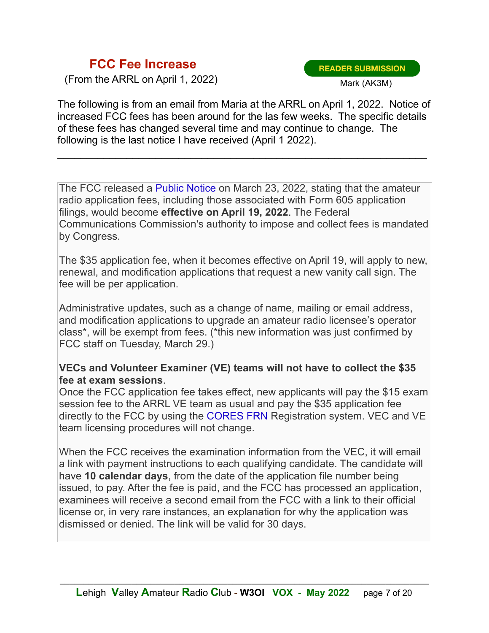#### **FCC Fee Increase**

(From the ARRL on April 1, 2022)

**READER SUBMISSION** Mark (AK3M)

The following is from an email from Maria at the ARRL on April 1, 2022. Notice of increased FCC fees has been around for the las few weeks. The specific details of these fees has changed several time and may continue to change. The following is the last notice I have received (April 1 2022).

\_\_\_\_\_\_\_\_\_\_\_\_\_\_\_\_\_\_\_\_\_\_\_\_\_\_\_\_\_\_\_\_\_\_\_\_\_\_\_\_\_\_\_\_\_\_\_\_\_\_\_\_\_\_\_\_\_\_\_\_\_\_\_\_

The FCC released a [Public Notice](http://arrl.informz.net/z/cjUucD9taT0yNDYwNTM4JnA9MSZ1PTUyMDMyMDUzOCZsaT0yNDYyOTk1NQ/index.html) on March 23, 2022, stating that the amateur radio application fees, including those associated with Form 605 application filings, would become **effective on April 19, 2022**. The Federal Communications Commission's authority to impose and collect fees is mandated by Congress.

The \$35 application fee, when it becomes effective on April 19, will apply to new, renewal, and modification applications that request a new vanity call sign. The fee will be per application.

Administrative updates, such as a change of name, mailing or email address, and modification applications to upgrade an amateur radio licensee's operator class\*, will be exempt from fees. (\*this new information was just confirmed by FCC staff on Tuesday, March 29.)

#### **VECs and Volunteer Examiner (VE) teams will not have to collect the \$35 fee at exam sessions**.

Once the FCC application fee takes effect, new applicants will pay the \$15 exam session fee to the ARRL VE team as usual and pay the \$35 application fee directly to the FCC by using the [CORES FRN](http://arrl.informz.net/z/cjUucD9taT0yNDYwNTM4JnA9MSZ1PTUyMDMyMDUzOCZsaT0yNDYyOTk1OA/index.html) Registration system. VEC and VE team licensing procedures will not change.

When the FCC receives the examination information from the VEC, it will email a link with payment instructions to each qualifying candidate. The candidate will have **10 calendar days**, from the date of the application file number being issued, to pay. After the fee is paid, and the FCC has processed an application, examinees will receive a second email from the FCC with a link to their official license or, in very rare instances, an explanation for why the application was dismissed or denied. The link will be valid for 30 days.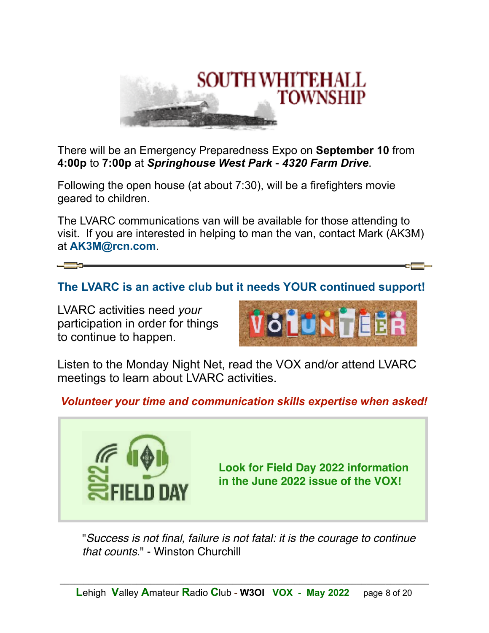

There will be an Emergency Preparedness Expo on **September 10** from **4:00p** to **7:00p** at *Springhouse West Park* - *4320 Farm Drive*.

Following the open house (at about 7:30), will be a firefighters movie geared to children.

The LVARC communications van will be available for those attending to visit. If you are interested in helping to man the van, contact Mark (AK3M) at **AK3M@rcn.com**.

### **The LVARC is an active club but it needs YOUR continued support!**

LVARC activities need *your* participation in order for things to continue to happen.



Listen to the Monday Night Net, read the VOX and/or attend LVARC meetings to learn about LVARC activities.

#### *Volunteer your time and communication skills expertise when asked!*



"*Success is not final, failure is not fatal: it is the courage to continue that counts*." - Winston Churchill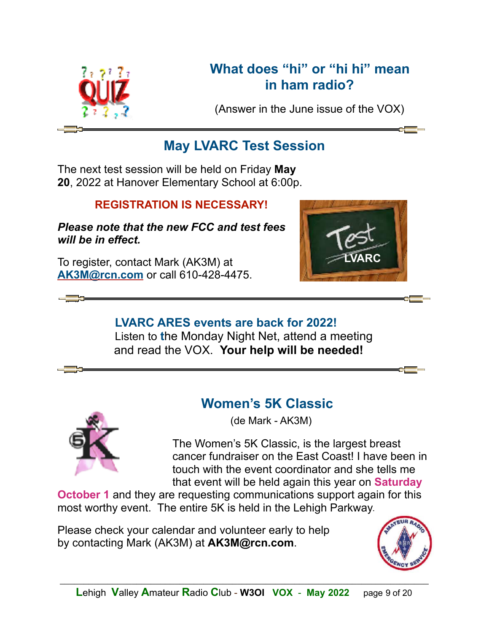

# **What does "hi" or "hi hi" mean in ham radio?**

(Answer in the June issue of the VOX)

# **May LVARC Test Session**

The next test session will be held on Friday **May 20**, 2022 at Hanover Elementary School at 6:00p.

#### **REGISTRATION IS NECESSARY!**

#### *Please note that the new FCC and test fees will be in effect.*

To register, contact Mark (AK3M) at **[AK3M@rcn.com](mailto:AK3M@rcn.com)** or call 610-428-4475.



### **LVARC ARES events are back for 2022!** Listen to **t**he Monday Night Net, attend a meeting and read the VOX. **Your help will be needed!**



# **Women's 5K Classic**

(de Mark - AK3M)

 The Women's 5K Classic, is the largest breast cancer fundraiser on the East Coast! I have been in touch with the event coordinator and she tells me that event will be held again this year on **Saturday**

**October 1** and they are requesting communications support again for this most worthy event. The entire 5K is held in the Lehigh Parkway.

Please check your calendar and volunteer early to help by contacting Mark (AK3M) at **AK3M@rcn.com**.

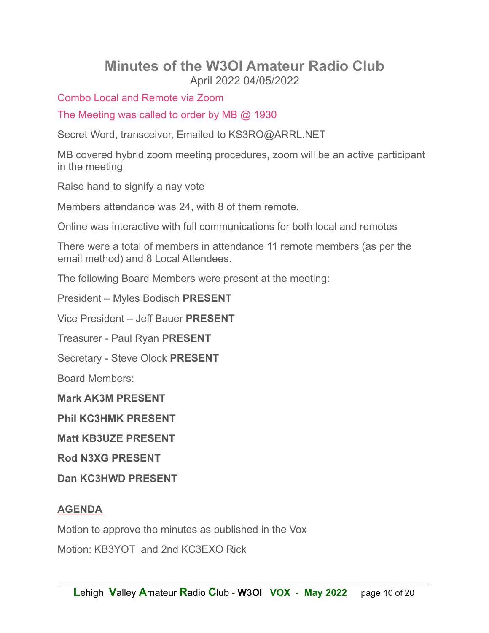#### **Minutes of the W3OI Amateur Radio Club**  April 2022 04/05/2022

Combo Local and Remote via Zoom

The Meeting was called to order by MB @ 1930

Secret Word, transceiver, Emailed to KS3RO@ARRL.NET

MB covered hybrid zoom meeting procedures, zoom will be an active participant in the meeting

Raise hand to signify a nay vote

Members attendance was 24, with 8 of them remote.

Online was interactive with full communications for both local and remotes

There were a total of members in attendance 11 remote members (as per the email method) and 8 Local Attendees.

The following Board Members were present at the meeting:

President – Myles Bodisch **PRESENT** 

Vice President – Jeff Bauer **PRESENT** 

Treasurer - Paul Ryan **PRESENT** 

Secretary - Steve Olock **PRESENT** 

Board Members:

**Mark AK3M PRESENT** 

**Phil KC3HMK PRESENT** 

**Matt KB3UZE PRESENT** 

**Rod N3XG PRESENT** 

**Dan KC3HWD PRESENT** 

#### **AGENDA**

Motion to approve the minutes as published in the Vox

Motion: KB3YOT and 2nd KC3EXO Rick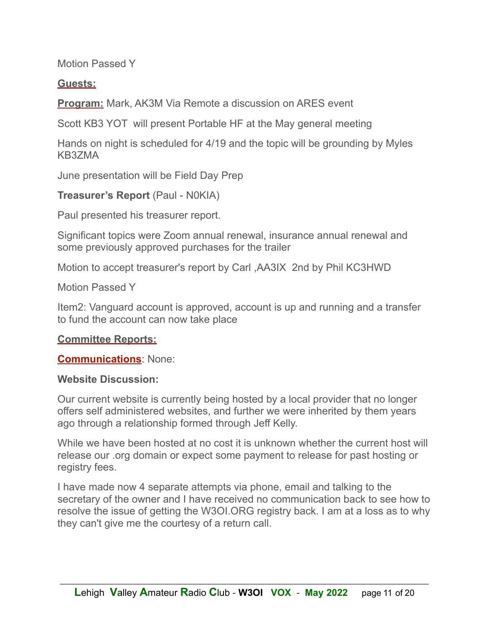Motion Passed Y

#### **Guests:**

**Program:** Mark, AK3M Via Remote a discussion on ARES event

Scott KB3 YOT will present Portable HF at the May general meeting

Hands on night is scheduled for 4/19 and the topic will be grounding by Myles KB3ZMA

June presentation will be Field Day Prep

**Treasurer's Report** (Paul - N0KIA)

Paul presented his treasurer report.

Significant topics were Zoom annual renewal, insurance annual renewal and some previously approved purchases for the trailer

Motion to accept treasurer's report by Carl ,AA3IX 2nd by Phil KC3HWD

Motion Passed Y

Item2: Vanguard account is approved, account is up and running and a transfer to fund the account can now take place

#### **Committee Reports:**

**Communications**: None:

#### **Website Discussion:**

Our current website is currently being hosted by a local provider that no longer offers self administered websites, and further we were inherited by them years ago through a relationship formed through Jeff Kelly.

While we have been hosted at no cost it is unknown whether the current host will release our .org domain or expect some payment to release for past hosting or registry fees.

I have made now 4 separate attempts via phone, email and talking to the secretary of the owner and I have received no communication back to see how to resolve the issue of getting the W3OI.ORG registry back. I am at a loss as to why they can't give me the courtesy of a return call.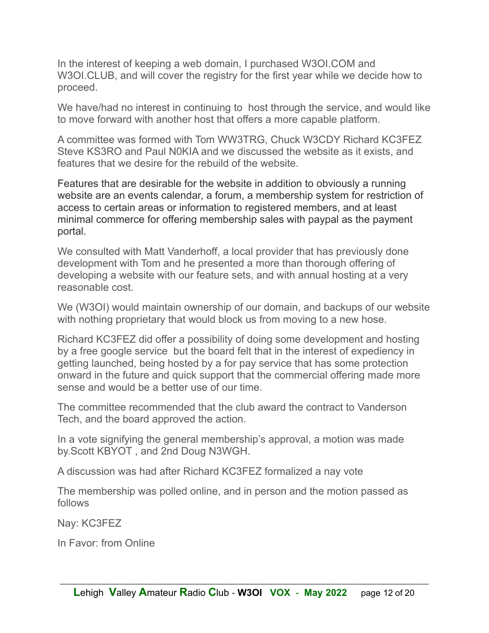In the interest of keeping a web domain, I purchased W3OI.COM and W3OI.CLUB, and will cover the registry for the first year while we decide how to proceed.

We have/had no interest in continuing to host through the service, and would like to move forward with another host that offers a more capable platform.

A committee was formed with Tom WW3TRG, Chuck W3CDY Richard KC3FEZ Steve KS3RO and Paul N0KIA and we discussed the website as it exists, and features that we desire for the rebuild of the website.

Features that are desirable for the website in addition to obviously a running website are an events calendar, a forum, a membership system for restriction of access to certain areas or information to registered members, and at least minimal commerce for offering membership sales with paypal as the payment portal.

We consulted with Matt Vanderhoff, a local provider that has previously done development with Tom and he presented a more than thorough offering of developing a website with our feature sets, and with annual hosting at a very reasonable cost.

We (W3OI) would maintain ownership of our domain, and backups of our website with nothing proprietary that would block us from moving to a new hose.

Richard KC3FEZ did offer a possibility of doing some development and hosting by a free google service but the board felt that in the interest of expediency in getting launched, being hosted by a for pay service that has some protection onward in the future and quick support that the commercial offering made more sense and would be a better use of our time.

The committee recommended that the club award the contract to Vanderson Tech, and the board approved the action.

In a vote signifying the general membership's approval, a motion was made by.Scott KBYOT , and 2nd Doug N3WGH.

A discussion was had after Richard KC3FEZ formalized a nay vote

The membership was polled online, and in person and the motion passed as follows

Nay: KC3FEZ

In Favor: from Online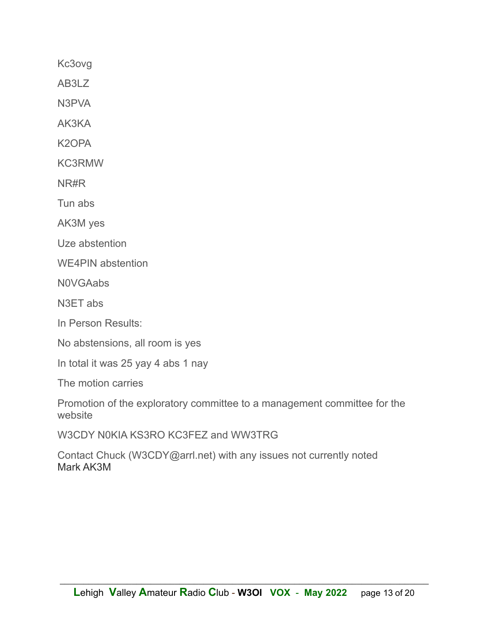Kc3ovg

AB3LZ

N3PVA

AK3KA

K<sub>2</sub>OPA

**KC3RMW** 

NR#R

Tun abs

AK3M yes

Uze abstention

**WE4PIN** abstention

**NOVGAabs** 

N3ET abs

In Person Results:

No abstensions, all room is yes

In total it was 25 yay 4 abs 1 nay

The motion carries

Promotion of the exploratory committee to a management committee for the website

W3CDY N0KIA KS3RO KC3FEZ and WW3TRG

Contact Chuck (W3CDY@arrl.net) with any issues not currently noted Mark AK3M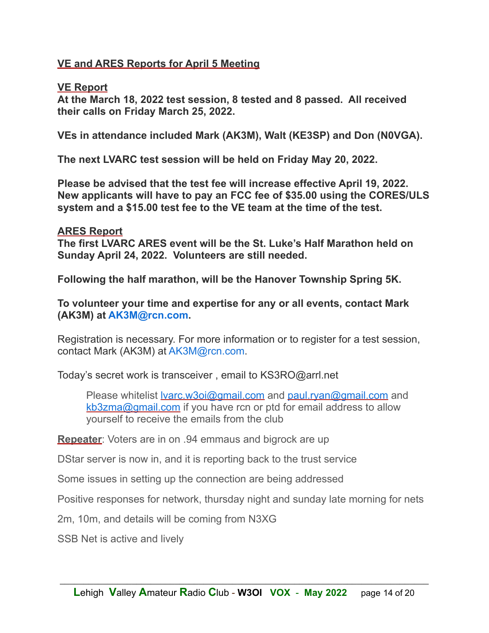#### **VE and ARES Reports for April 5 Meeting**

#### **VE Report**

**At the March 18, 2022 test session, 8 tested and 8 passed. All received their calls on Friday March 25, 2022.** 

**VEs in attendance included Mark (AK3M), Walt (KE3SP) and Don (N0VGA).** 

**The next LVARC test session will be held on Friday May 20, 2022.** 

**Please be advised that the test fee will increase effective April 19, 2022. New applicants will have to pay an FCC fee of \$35.00 using the CORES/ULS system and a \$15.00 test fee to the VE team at the time of the test.** 

#### **ARES Report**

**The first LVARC ARES event will be the St. Luke's Half Marathon held on Sunday April 24, 2022. Volunteers are still needed.** 

**Following the half marathon, will be the Hanover Township Spring 5K.** 

**To volunteer your time and expertise for any or all events, contact Mark (AK3M) at AK3M@rcn.com.** 

Registration is necessary. For more information or to register for a test session, contact Mark (AK3M) at AK3M@rcn.com.

Today's secret work is transceiver , email to KS3RO@arrl.net

Please whitelist <u>Ivarc.w3oi@gmail.com</u> and [paul.ryan@gmail.com](mailto:paul.ryan@gmail.com) and [kb3zma@gmail.com](mailto:kb3zma@gmail.com) if you have rcn or ptd for email address to allow yourself to receive the emails from the club

**Repeater**: Voters are in on .94 emmaus and bigrock are up

DStar server is now in, and it is reporting back to the trust service

Some issues in setting up the connection are being addressed

Positive responses for network, thursday night and sunday late morning for nets

2m, 10m, and details will be coming from N3XG

SSB Net is active and lively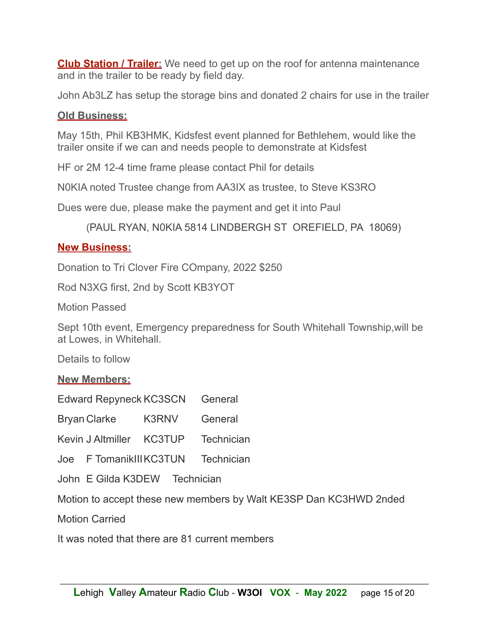**Club Station / Trailer:** We need to get up on the roof for antenna maintenance and in the trailer to be ready by field day.

John Ab3LZ has setup the storage bins and donated 2 chairs for use in the trailer

#### **Old Business:**

May 15th, Phil KB3HMK, Kidsfest event planned for Bethlehem, would like the trailer onsite if we can and needs people to demonstrate at Kidsfest

HF or 2M 12-4 time frame please contact Phil for details

N0KIA noted Trustee change from AA3IX as trustee, to Steve KS3RO

Dues were due, please make the payment and get it into Paul

(PAUL RYAN, N0KIA 5814 LINDBERGH ST OREFIELD, PA 18069)

#### **New Business:**

Donation to Tri Clover Fire COmpany, 2022 \$250

Rod N3XG first, 2nd by Scott KB3YOT

Motion Passed

Sept 10th event, Emergency preparedness for South Whitehall Township,will be at Lowes, in Whitehall.

Details to follow

**New Members:** 

Edward Repyneck KC3SCN General

Bryan Clarke K3RNV General

Kevin J Altmiller KC3TUP Technician

Joe F TomanikIII KC3TUN Technician

John E Gilda K3DEW Technician

Motion to accept these new members by Walt KE3SP Dan KC3HWD 2nded

Motion Carried

It was noted that there are 81 current members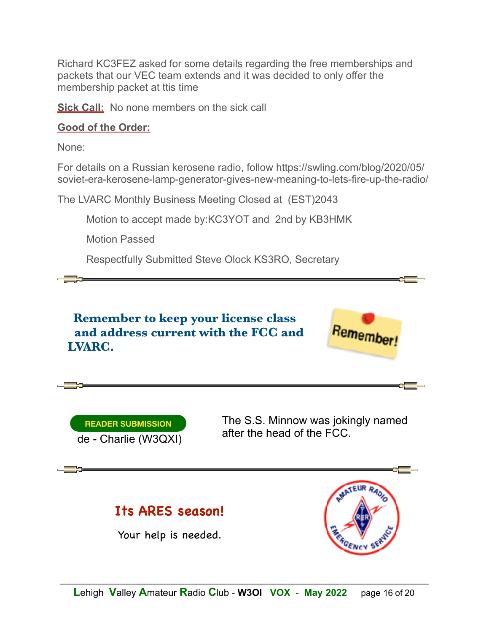Richard KC3FEZ asked for some details regarding the free memberships and packets that our VEC team extends and it was decided to only offer the membership packet at ttis time

**Sick Call:** No none members on the sick call

#### **Good of the Order:**

None:

For details on a Russian kerosene radio, follow https://swling.com/blog/2020/05/ soviet-era-kerosene-lamp-generator-gives-new-meaning-to-lets-fire-up-the-radio/

The LVARC Monthly Business Meeting Closed at (EST)2043

Motion to accept made by:KC3YOT and 2nd by KB3HMK

Motion Passed

Respectfully Submitted Steve Olock KS3RO, Secretary





The S.S. Minnow was jokingly named after the head of the FCC.

# **Its ARES season!**

Your help is needed.

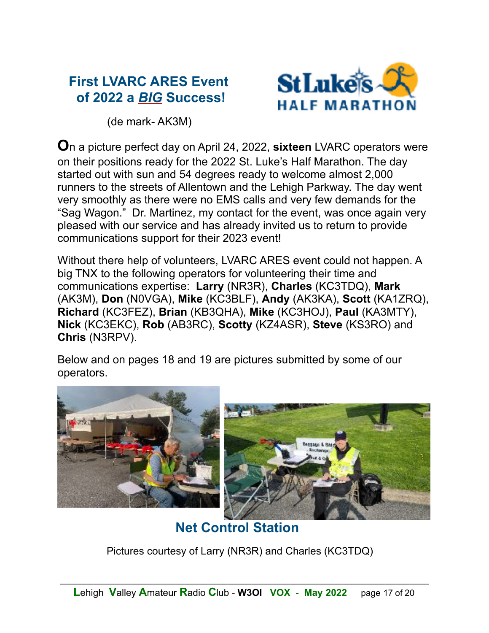# **First LVARC ARES Event of 2022 a** *BIG* **Success!**



(de mark- AK3M)

**O**n a picture perfect day on April 24, 2022, **sixteen** LVARC operators were on their positions ready for the 2022 St. Luke's Half Marathon. The day started out with sun and 54 degrees ready to welcome almost 2,000 runners to the streets of Allentown and the Lehigh Parkway. The day went very smoothly as there were no EMS calls and very few demands for the "Sag Wagon." Dr. Martinez, my contact for the event, was once again very pleased with our service and has already invited us to return to provide communications support for their 2023 event!

Without there help of volunteers, LVARC ARES event could not happen. A big TNX to the following operators for volunteering their time and communications expertise: **Larry** (NR3R), **Charles** (KC3TDQ), **Mark** (AK3M), **Don** (N0VGA), **Mike** (KC3BLF), **Andy** (AK3KA), **Scott** (KA1ZRQ), **Richard** (KC3FEZ), **Brian** (KB3QHA), **Mike** (KC3HOJ), **Paul** (KA3MTY), **Nick** (KC3EKC), **Rob** (AB3RC), **Scotty** (KZ4ASR), **Steve** (KS3RO) and **Chris** (N3RPV).

Below and on pages 18 and 19 are pictures submitted by some of our operators.



 **Net Control Station** 

Pictures courtesy of Larry (NR3R) and Charles (KC3TDQ)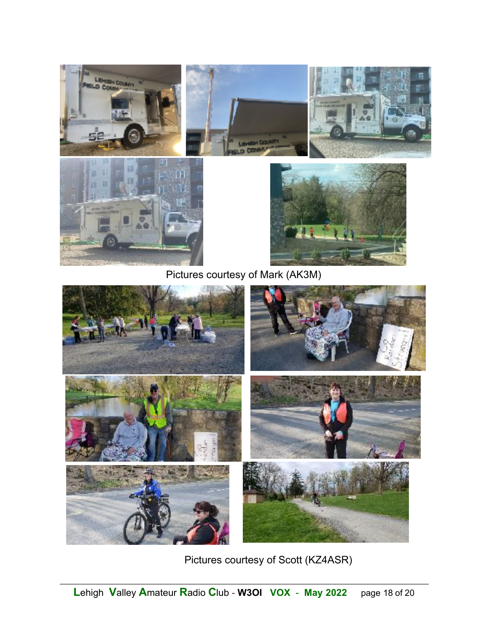

Pictures courtesy of Mark (AK3M)



Pictures courtesy of Scott (KZ4ASR)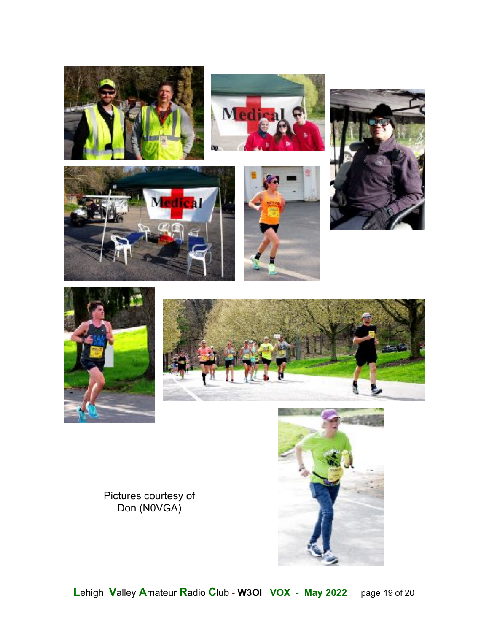













Pictures courtesy of<br>Don (N0VGA)